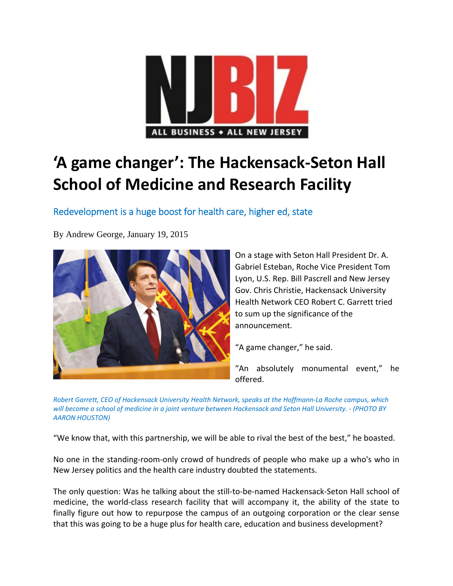

# **'A game changer': The Hackensack‐Seton Hall School of Medicine and Research Facility**

Redevelopment is a huge boost for health care, higher ed, state

By Andrew George, January 19, 2015



On a stage with Seton Hall President Dr. A. Gabriel Esteban, Roche Vice President Tom Lyon, U.S. Rep. Bill Pascrell and New Jersey Gov. Chris Christie, Hackensack University Health Network CEO Robert C. Garrett tried to sum up the significance of the announcement.

"A game changer," he said.

"An absolutely monumental event," he offered.

Robert Garrett, CEO of Hackensack University Health Network, speaks at the Hoffmann-La Roche campus, which will become a school of medicine in a joint venture between Hackensack and Seton Hall University. - (PHOTO BY *AARON HOUSTON)*

"We know that, with this partnership, we will be able to rival the best of the best," he boasted.

No one in the standing‐room‐only crowd of hundreds of people who make up a who's who in New Jersey politics and the health care industry doubted the statements.

The only question: Was he talking about the still‐to‐be‐named Hackensack‐Seton Hall school of medicine, the world‐class research facility that will accompany it, the ability of the state to finally figure out how to repurpose the campus of an outgoing corporation or the clear sense that this was going to be a huge plus for health care, education and business development?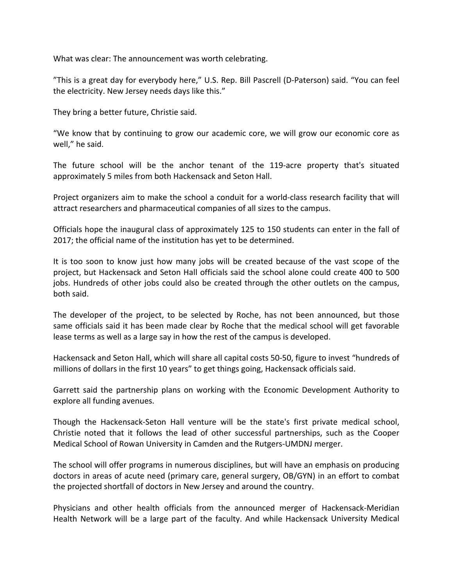What was clear: The announcement was worth celebrating.

"This is a great day for everybody here," U.S. Rep. Bill Pascrell (D‐Paterson) said. "You can feel the electricity. New Jersey needs days like this."

They bring a better future, Christie said.

"We know that by continuing to grow our academic core, we will grow our economic core as well," he said.

The future school will be the anchor tenant of the 119‐acre property that's situated approximately 5 miles from both Hackensack and Seton Hall.

Project organizers aim to make the school a conduit for a world‐class research facility that will attract researchers and pharmaceutical companies of all sizes to the campus.

Officials hope the inaugural class of approximately 125 to 150 students can enter in the fall of 2017; the official name of the institution has yet to be determined.

It is too soon to know just how many jobs will be created because of the vast scope of the project, but Hackensack and Seton Hall officials said the school alone could create 400 to 500 jobs. Hundreds of other jobs could also be created through the other outlets on the campus, both said.

The developer of the project, to be selected by Roche, has not been announced, but those same officials said it has been made clear by Roche that the medical school will get favorable lease terms as well as a large say in how the rest of the campus is developed.

Hackensack and Seton Hall, which will share all capital costs 50‐50, figure to invest "hundreds of millions of dollars in the first 10 years" to get things going, Hackensack officials said.

Garrett said the partnership plans on working with the Economic Development Authority to explore all funding avenues.

Though the Hackensack‐Seton Hall venture will be the state's first private medical school, Christie noted that it follows the lead of other successful partnerships, such as the Cooper Medical School of Rowan University in Camden and the Rutgers‐UMDNJ merger.

The school will offer programs in numerous disciplines, but will have an emphasis on producing doctors in areas of acute need (primary care, general surgery, OB/GYN) in an effort to combat the projected shortfall of doctors in New Jersey and around the country.

Physicians and other health officials from the announced merger of Hackensack‐Meridian Health Network will be a large part of the faculty. And while Hackensack University Medical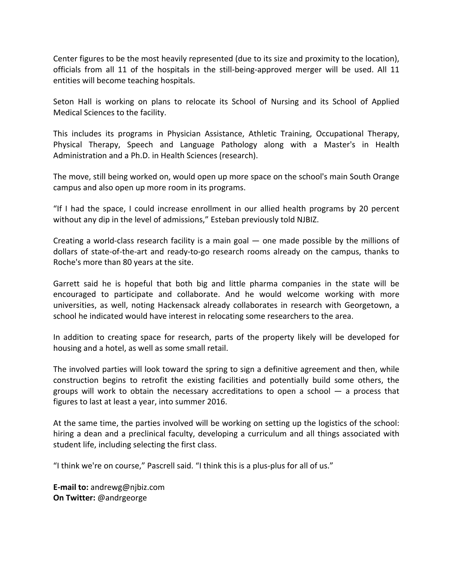Center figures to be the most heavily represented (due to its size and proximity to the location), officials from all 11 of the hospitals in the still-being-approved merger will be used. All 11 entities will become teaching hospitals.

Seton Hall is working on plans to relocate its School of Nursing and its School of Applied Medical Sciences to the facility.

This includes its programs in Physician Assistance, Athletic Training, Occupational Therapy, Physical Therapy, Speech and Language Pathology along with a Master's in Health Administration and a Ph.D. in Health Sciences (research).

The move, still being worked on, would open up more space on the school's main South Orange campus and also open up more room in its programs.

"If I had the space, I could increase enrollment in our allied health programs by 20 percent without any dip in the level of admissions," Esteban previously told NJBIZ.

Creating a world-class research facility is a main goal  $-$  one made possible by the millions of dollars of state‐of‐the‐art and ready‐to‐go research rooms already on the campus, thanks to Roche's more than 80 years at the site.

Garrett said he is hopeful that both big and little pharma companies in the state will be encouraged to participate and collaborate. And he would welcome working with more universities, as well, noting Hackensack already collaborates in research with Georgetown, a school he indicated would have interest in relocating some researchers to the area.

In addition to creating space for research, parts of the property likely will be developed for housing and a hotel, as well as some small retail.

The involved parties will look toward the spring to sign a definitive agreement and then, while construction begins to retrofit the existing facilities and potentially build some others, the groups will work to obtain the necessary accreditations to open a school  $-$  a process that figures to last at least a year, into summer 2016.

At the same time, the parties involved will be working on setting up the logistics of the school: hiring a dean and a preclinical faculty, developing a curriculum and all things associated with student life, including selecting the first class.

"I think we're on course," Pascrell said. "I think this is a plus‐plus for all of us."

**E‐mail to:** andrewg@njbiz.com **On Twitter:** @andrgeorge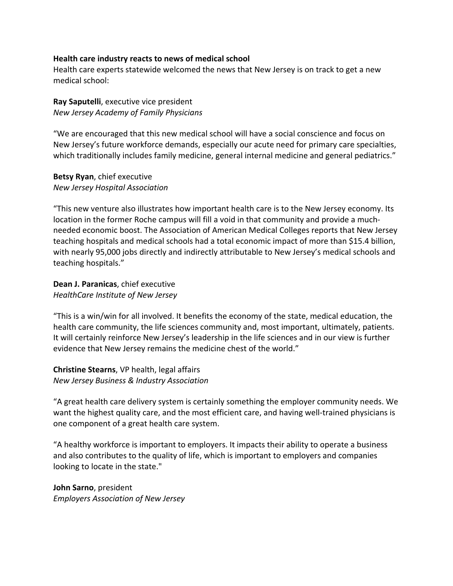#### **Health care industry reacts to news of medical school**

Health care experts statewide welcomed the news that New Jersey is on track to get a new medical school:

## **Ray Saputelli**, executive vice president *New Jersey Academy of Family Physicians*

"We are encouraged that this new medical school will have a social conscience and focus on New Jersey's future workforce demands, especially our acute need for primary care specialties, which traditionally includes family medicine, general internal medicine and general pediatrics."

#### **Betsy Ryan**, chief executive *New Jersey Hospital Association*

"This new venture also illustrates how important health care is to the New Jersey economy. Its location in the former Roche campus will fill a void in that community and provide a much‐ needed economic boost. The Association of American Medical Colleges reports that New Jersey teaching hospitals and medical schools had a total economic impact of more than \$15.4 billion, with nearly 95,000 jobs directly and indirectly attributable to New Jersey's medical schools and teaching hospitals."

#### **Dean J. Paranicas**, chief executive *HealthCare Institute of New Jersey*

"This is a win/win for all involved. It benefits the economy of the state, medical education, the health care community, the life sciences community and, most important, ultimately, patients. It will certainly reinforce New Jersey's leadership in the life sciences and in our view is further evidence that New Jersey remains the medicine chest of the world."

### **Christine Stearns**, VP health, legal affairs *New Jersey Business & Industry Association*

"A great health care delivery system is certainly something the employer community needs. We want the highest quality care, and the most efficient care, and having well-trained physicians is one component of a great health care system.

"A healthy workforce is important to employers. It impacts their ability to operate a business and also contributes to the quality of life, which is important to employers and companies looking to locate in the state."

## **John Sarno**, president *Employers Association of New Jersey*